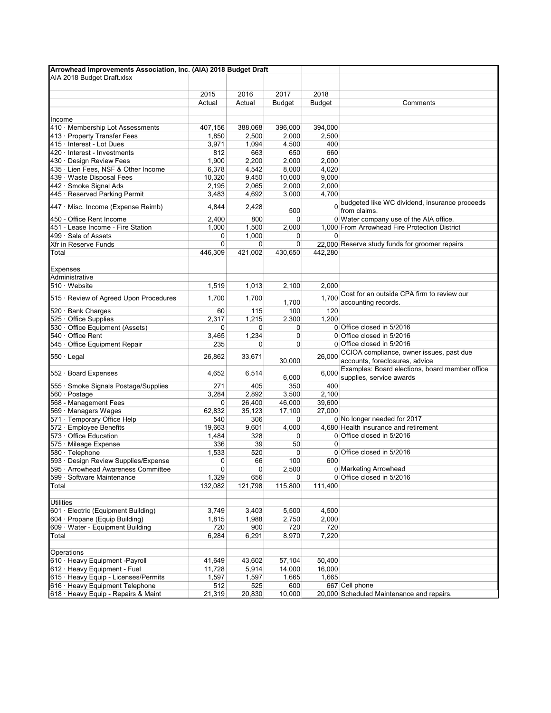| Arrowhead Improvements Association, Inc. (AIA) 2018 Budget Draft  |              |              |                      |               |                                                                            |  |  |  |  |
|-------------------------------------------------------------------|--------------|--------------|----------------------|---------------|----------------------------------------------------------------------------|--|--|--|--|
| AIA 2018 Budget Draft.xlsx                                        |              |              |                      |               |                                                                            |  |  |  |  |
|                                                                   |              |              |                      |               |                                                                            |  |  |  |  |
|                                                                   | 2015         | 2016         | 2017                 | 2018          | Comments                                                                   |  |  |  |  |
|                                                                   | Actual       | Actual       | <b>Budget</b>        | <b>Budget</b> |                                                                            |  |  |  |  |
| Income                                                            |              |              |                      |               |                                                                            |  |  |  |  |
| 410 · Membership Lot Assessments                                  | 407,156      | 388,068      | 396,000              | 394,000       |                                                                            |  |  |  |  |
| 413 · Property Transfer Fees                                      | 1,850        | 2,500        | 2,000                | 2,500         |                                                                            |  |  |  |  |
| 415 · Interest - Lot Dues                                         | 3,971        | 1,094        | 4,500                | 400           |                                                                            |  |  |  |  |
| 420 · Interest - Investments                                      | 812          | 663          | 650                  | 660           |                                                                            |  |  |  |  |
| 430 · Design Review Fees                                          | 1,900        | 2,200        | 2,000                | 2,000         |                                                                            |  |  |  |  |
| 435 · Lien Fees, NSF & Other Income                               | 6,378        | 4,542        | 8,000                | 4,020         |                                                                            |  |  |  |  |
| 439 · Waste Disposal Fees                                         | 10,320       | 9,450        | 10,000               | 9,000         |                                                                            |  |  |  |  |
| 442 · Smoke Signal Ads                                            | 2,195        | 2,065        | 2,000                | 2,000         |                                                                            |  |  |  |  |
| 445 · Reserved Parking Permit                                     | 3,483        | 4,692        | 3,000                | 4,700         |                                                                            |  |  |  |  |
| 447 · Misc. Income (Expense Reimb)                                | 4,844        | 2,428        |                      |               | budgeted like WC dividend, insurance proceeds                              |  |  |  |  |
|                                                                   |              |              | 500                  |               | from claims.                                                               |  |  |  |  |
| 450 - Office Rent Income                                          | 2,400        | 800          | $\mathbf 0$          |               | 0 Water company use of the AIA office.                                     |  |  |  |  |
| 451 - Lease Income - Fire Station                                 | 1,000        | 1,500        | 2,000                |               | 1,000 From Arrowhead Fire Protection District                              |  |  |  |  |
| 499 · Sale of Assets                                              | 0            | 1,000        | 0                    | 0             |                                                                            |  |  |  |  |
| Xfr in Reserve Funds<br>Total                                     | 0<br>446,309 | 0<br>421,002 | 0<br>430,650         | 442.280       | 22,000 Reserve study funds for groomer repairs                             |  |  |  |  |
|                                                                   |              |              |                      |               |                                                                            |  |  |  |  |
| <b>Expenses</b>                                                   |              |              |                      |               |                                                                            |  |  |  |  |
| Administrative                                                    |              |              |                      |               |                                                                            |  |  |  |  |
| $510 \cdot$ Website                                               | 1.519        | 1,013        | 2,100                | 2,000         |                                                                            |  |  |  |  |
|                                                                   |              |              |                      |               | Cost for an outside CPA firm to review our                                 |  |  |  |  |
| 515 · Review of Agreed Upon Procedures                            | 1,700        | 1,700        | 1,700                | 1.700         | accounting records.                                                        |  |  |  |  |
| 520 · Bank Charges                                                | 60           | 115          | 100                  | 120           |                                                                            |  |  |  |  |
| 525 Office Supplies                                               | 2,317        | 1,215        | 2,300                | 1,200         |                                                                            |  |  |  |  |
| 530 · Office Equipment (Assets)                                   | 0            | 0            | 0                    |               | 0 Office closed in 5/2016                                                  |  |  |  |  |
| 540 · Office Rent                                                 | 3,465        | 1,234        | 0                    |               | 0 Office closed in 5/2016                                                  |  |  |  |  |
| 545 · Office Equipment Repair                                     | 235          | 0            | 0                    |               | 0 Office closed in 5/2016                                                  |  |  |  |  |
| $550 \cdot$ Legal                                                 | 26,862       | 33,671       | 30,000               | 26,000        | CCIOA compliance, owner issues, past due<br>accounts, foreclosures, advice |  |  |  |  |
|                                                                   |              |              |                      |               | Examples: Board elections, board member office                             |  |  |  |  |
| 552 · Board Expenses                                              | 4,652        | 6,514        | 6,000                | 6,000         | supplies, service awards                                                   |  |  |  |  |
| 555 · Smoke Signals Postage/Supplies                              | 271          | 405          | 350                  | 400           |                                                                            |  |  |  |  |
| 560 · Postage                                                     | 3,284        | 2,892        | 3,500                | 2,100         |                                                                            |  |  |  |  |
| 568 - Management Fees                                             | 0            | 26,400       | 46,000               | 39,600        |                                                                            |  |  |  |  |
| 569 · Managers Wages                                              | 62,832       | 35,123       | 17,100               | 27,000        |                                                                            |  |  |  |  |
| 571 · Temporary Office Help                                       | 540          | 306          | 0                    |               | 0 No longer needed for 2017                                                |  |  |  |  |
| 572 · Employee Benefits                                           | 19.663       | 9,601        | 4,000                |               | 4,680 Health insurance and retirement                                      |  |  |  |  |
| 573 · Office Education                                            | 1,484        | 328          | 0                    |               | 0 Office closed in 5/2016                                                  |  |  |  |  |
| 575 · Mileage Expense                                             | 336          | 39           | 50                   | $\Omega$      |                                                                            |  |  |  |  |
| 580 · Telephone                                                   | 1,533        | 520          | $\mathbf 0$          |               | 0 Office closed in 5/2016                                                  |  |  |  |  |
| 593 · Design Review Supplies/Expense                              | 0            | 66           | 100                  | 600           |                                                                            |  |  |  |  |
| 595 · Arrowhead Awareness Committee<br>599 · Software Maintenance | 0<br>1,329   | 0<br>656     | 2,500<br>$\mathbf 0$ |               | 0 Marketing Arrowhead<br>0 Office closed in 5/2016                         |  |  |  |  |
| Total                                                             | 132,082      | 121,798      | 115,800              | 111,400       |                                                                            |  |  |  |  |
|                                                                   |              |              |                      |               |                                                                            |  |  |  |  |
| <b>Utilities</b>                                                  |              |              |                      |               |                                                                            |  |  |  |  |
| 601 · Electric (Equipment Building)                               | 3,749        | 3,403        | 5,500                | 4,500         |                                                                            |  |  |  |  |
| 604 · Propane (Equip Building)                                    | 1,815        | 1,988        | 2,750                | 2,000         |                                                                            |  |  |  |  |
| 609 · Water - Equipment Building                                  | 720          | 900          | 720                  | 720           |                                                                            |  |  |  |  |
| Total                                                             | 6,284        | 6,291        | 8,970                | 7,220         |                                                                            |  |  |  |  |
| Operations                                                        |              |              |                      |               |                                                                            |  |  |  |  |
| 610 · Heavy Equipment -Payroll                                    | 41,649       | 43,602       | 57,104               | 50,400        |                                                                            |  |  |  |  |
| 612 · Heavy Equipment - Fuel                                      | 11,728       | 5,914        | 14,000               | 16,000        |                                                                            |  |  |  |  |
| 615 · Heavy Equip - Licenses/Permits                              | 1,597        | 1,597        | 1,665                | 1,665         |                                                                            |  |  |  |  |
| 616 · Heavy Equipment Telephone                                   | 512          | 525          | 600                  |               | 667 Cell phone                                                             |  |  |  |  |
| 618 · Heavy Equip - Repairs & Maint                               | 21,319       | 20,830       | 10,000               |               | 20,000 Scheduled Maintenance and repairs.                                  |  |  |  |  |